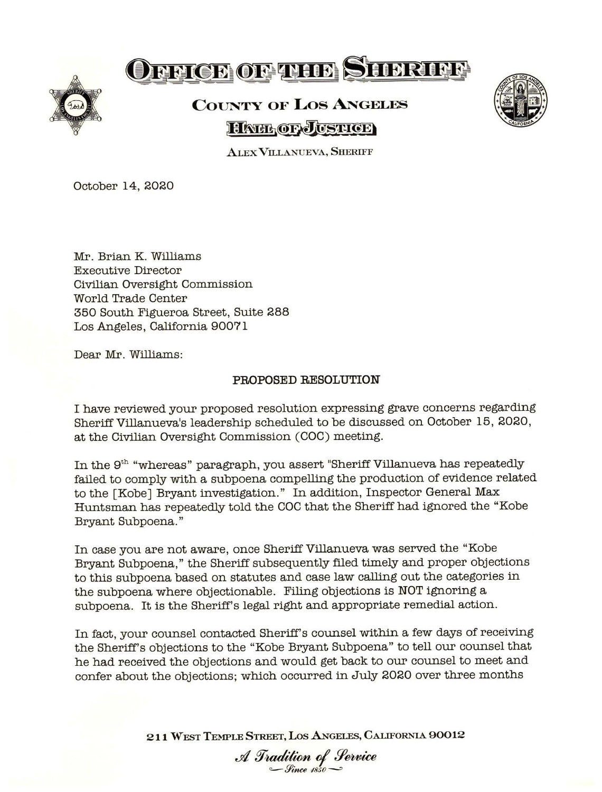

## OFFICE OF THE SHERIFF

## **COUNTY OF Los ANGELES HATH OF JUSTICE**



**.ALEX VILLANUEVA, SHERIFF** 

October 14, 2020

Mr. Brian K. Williams Executive Director Civilian Oversight Commission World Trade Center 350 South Figueroa Street, Suite 288 Los Angeles, California 90071

Dear Mr. Williams:

## **PROPOSED RESOLUTION**

I have reviewed your proposed resolution expressing grave concerns regarding Sheriff Villanueva's leadership scheduled to be discussed on October 15, 2020, at the Civilian Oversight Commission (COC) meeting.

In the 9<sup>th</sup> "whereas" paragraph, you assert "Sheriff Villanueva has repeatedly failed to comply with a subpoena compelling the production of evidence related to the [Kobe] Bryant investigation." In addition, Inspector General Max Huntsman has repeatedly told the COC that the Sheriff had ignored the "Kobe Bryant Subpoena. "

In case you are not aware, once Sheriff Villanueva was served the "Kobe Bryant Subpoena," the Sheriff subsequently filed timely and proper objections to this subpoena based on statutes and case law calling out the categories in the subpoena where objectionable. Filing objections is NOT ignoring a subpoena. It is the Sheriff's legal right and appropriate remedial action.

In fact, your counsel contacted Sheriff's counsel within a few days of receiving the Sheriff's objections to the "Kobe Bryant Subpoena" to tell our counsel that he had received the objections and would get back to our counsel to meet and confer about the objections; which occurred in July 2020 over three months

211 WEST TEMPLE STREET, LOS ANGELES, CALIFORNIA 90012

*A Tradition of Service*<br>*A Tradition of Service*